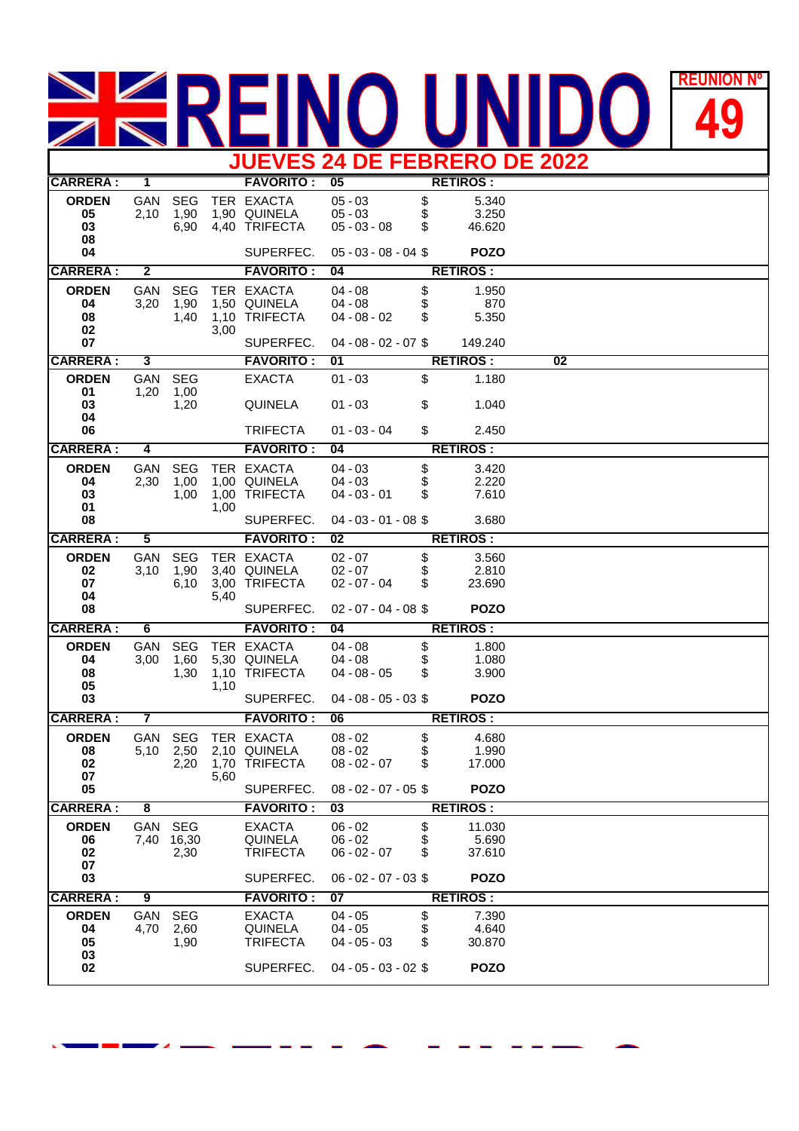## REUNION **REUNIÓN Nº JUEVES 24 DE FEBRERO DE 2022**

| JUEVES Z4 DE FEBRERU DE ZUZZ         |                         |                               |      |                                                               |                                                                    |                |                                          |                 |  |  |
|--------------------------------------|-------------------------|-------------------------------|------|---------------------------------------------------------------|--------------------------------------------------------------------|----------------|------------------------------------------|-----------------|--|--|
| <b>CARRERA:</b>                      | $\overline{1}$          |                               |      | <b>FAVORITO:</b>                                              | 05                                                                 |                | <b>RETIROS:</b>                          |                 |  |  |
| <b>ORDEN</b><br>05<br>03<br>08       | GAN<br>2,10             | <b>SEG</b><br>1,90<br>6,90    |      | TER EXACTA<br>1,90 QUINELA<br>4,40 TRIFECTA                   | $05 - 03$<br>$05 - 03$<br>$05 - 03 - 08$                           | \$<br>\$<br>\$ | 5.340<br>3.250<br>46.620                 |                 |  |  |
| 04                                   |                         |                               |      | SUPERFEC.                                                     | $05 - 03 - 08 - 04$ \$                                             |                | <b>POZO</b>                              |                 |  |  |
| <b>CARRERA:</b>                      | $\overline{\mathbf{2}}$ |                               |      | <b>FAVORITO:</b>                                              | 04                                                                 |                | <b>RETIROS:</b>                          |                 |  |  |
| <b>ORDEN</b><br>04<br>08<br>02<br>07 | GAN<br>3,20             | <b>SEG</b><br>1,90<br>1,40    | 3,00 | TER EXACTA<br>1,50 QUINELA<br>1,10 TRIFECTA<br>SUPERFEC.      | $04 - 08$<br>$04 - 08$<br>$04 - 08 - 02$<br>$04 - 08 - 02 - 07$ \$ | \$<br>\$<br>S  | 1.950<br>870<br>5.350<br>149.240         |                 |  |  |
| <b>CARRERA:</b>                      | 3                       |                               |      | <b>FAVORITO:</b>                                              | $\overline{01}$                                                    |                | <b>RETIROS:</b>                          | $\overline{02}$ |  |  |
| <b>ORDEN</b><br>01<br>03             | GAN<br>1,20             | <b>SEG</b><br>1,00            |      | <b>EXACTA</b>                                                 | $01 - 03$                                                          | \$             | 1.180                                    |                 |  |  |
| 04<br>06                             |                         | 1,20                          |      | <b>QUINELA</b><br><b>TRIFECTA</b>                             | $01 - 03$<br>$01 - 03 - 04$                                        | \$<br>\$       | 1.040<br>2.450                           |                 |  |  |
| <b>CARRERA:</b>                      | 4                       |                               |      | <b>FAVORITO:</b>                                              | 04                                                                 |                | <b>RETIROS:</b>                          |                 |  |  |
| <b>ORDEN</b><br>04<br>03<br>01       | GAN<br>2,30             | <b>SEG</b><br>1,00<br>1,00    | 1,00 | TER EXACTA<br>1,00 QUINELA<br>1,00 TRIFECTA                   | $04 - 03$<br>$04 - 03$<br>$04 - 03 - 01$                           | \$<br>\$<br>S  | 3.420<br>2.220<br>7.610                  |                 |  |  |
| 08                                   |                         |                               |      | SUPERFEC.                                                     | $04 - 03 - 01 - 08$ \$                                             |                | 3.680                                    |                 |  |  |
| <b>CARRERA:</b>                      | 5                       |                               |      | <b>FAVORITO:</b>                                              | $\overline{02}$                                                    |                | <b>RETIROS:</b>                          |                 |  |  |
| <b>ORDEN</b><br>02<br>07<br>04<br>08 | GAN<br>3,10             | <b>SEG</b><br>1,90<br>6,10    | 5,40 | TER EXACTA<br>3,40 QUINELA<br>3,00 TRIFECTA<br>SUPERFEC.      | $02 - 07$<br>$02 - 07$<br>$02 - 07 - 04$<br>$02 - 07 - 04 - 08$    | \$<br>\$<br>S  | 3.560<br>2.810<br>23.690<br><b>POZO</b>  |                 |  |  |
| <b>CARRERA:</b>                      | 6                       |                               |      | <b>FAVORITO:</b>                                              | 04                                                                 |                | <b>RETIROS:</b>                          |                 |  |  |
| <b>ORDEN</b><br>04<br>08<br>05<br>03 | <b>GAN</b><br>3,00      | <b>SEG</b><br>1,60<br>1,30    | 1,10 | TER EXACTA<br>5,30 QUINELA<br>1,10 TRIFECTA<br>SUPERFEC.      | $04 - 08$<br>$04 - 08$<br>$04 - 08 - 05$<br>$04 - 08 - 05 - 03$ \$ | \$<br>\$<br>\$ | 1.800<br>1.080<br>3.900<br><b>POZO</b>   |                 |  |  |
| <b>CARRERA:</b>                      | 7                       |                               |      | <b>FAVORITO:</b>                                              | 06                                                                 |                | <b>RETIROS:</b>                          |                 |  |  |
| <b>ORDEN</b><br>08<br>02<br>07<br>05 | GAN<br>5,10             | <b>SEG</b><br>2,50            | 5,60 | TER EXACTA<br>2,10 QUINELA<br>2,20 1,70 TRIFECTA<br>SUPERFEC. | $08 - 02$<br>$08 - 02$<br>$08 - 02 - 07$<br>$08 - 02 - 07 - 05$ \$ | \$<br>\$<br>\$ | 4.680<br>1.990<br>17.000<br><b>POZO</b>  |                 |  |  |
| <b>CARRERA:</b>                      | 8                       |                               |      | <b>FAVORITO:</b>                                              | $\overline{03}$                                                    |                | <b>RETIROS:</b>                          |                 |  |  |
| <b>ORDEN</b><br>06<br>02<br>07<br>03 |                         | GAN SEG<br>7,40 16,30<br>2,30 |      | <b>EXACTA</b><br>QUINELA<br><b>TRIFECTA</b><br>SUPERFEC.      | $06 - 02$<br>$06 - 02$<br>$06 - 02 - 07$<br>$06 - 02 - 07 - 03$ \$ | \$<br>\$<br>\$ | 11.030<br>5.690<br>37.610<br><b>POZO</b> |                 |  |  |
| <b>CARRERA:</b>                      | 9                       |                               |      | <b>FAVORITO :</b>                                             | 07                                                                 |                | <b>RETIROS:</b>                          |                 |  |  |
| <b>ORDEN</b><br>04<br>05<br>03       | 4,70                    | GAN SEG<br>2,60<br>1,90       |      | <b>EXACTA</b><br>QUINELA<br><b>TRIFECTA</b>                   | $04 - 05$<br>$04 - 05$<br>$04 - 05 - 03$                           | \$<br>\$<br>S  | 7.390<br>4.640<br>30.870                 |                 |  |  |
| 02                                   |                         |                               |      | SUPERFEC.                                                     | $04 - 05 - 03 - 02$ \$                                             |                | <b>POZO</b>                              |                 |  |  |